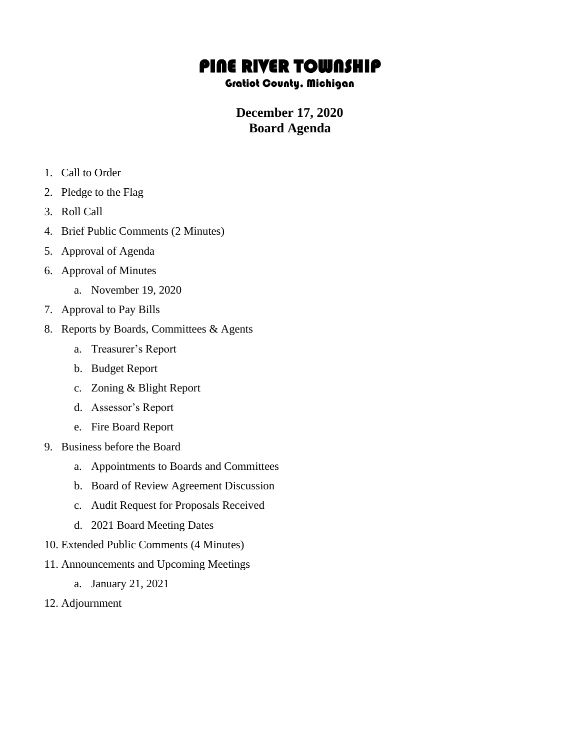## PINE RIVER TOWNSHIP

## Gratiot County, Michigan

## **December 17, 2020 Board Agenda**

- 1. Call to Order
- 2. Pledge to the Flag
- 3. Roll Call
- 4. Brief Public Comments (2 Minutes)
- 5. Approval of Agenda
- 6. Approval of Minutes
	- a. November 19, 2020
- 7. Approval to Pay Bills
- 8. Reports by Boards, Committees & Agents
	- a. Treasurer's Report
	- b. Budget Report
	- c. Zoning & Blight Report
	- d. Assessor's Report
	- e. Fire Board Report
- 9. Business before the Board
	- a. Appointments to Boards and Committees
	- b. Board of Review Agreement Discussion
	- c. Audit Request for Proposals Received
	- d. 2021 Board Meeting Dates
- 10. Extended Public Comments (4 Minutes)
- 11. Announcements and Upcoming Meetings
	- a. January 21, 2021
- 12. Adjournment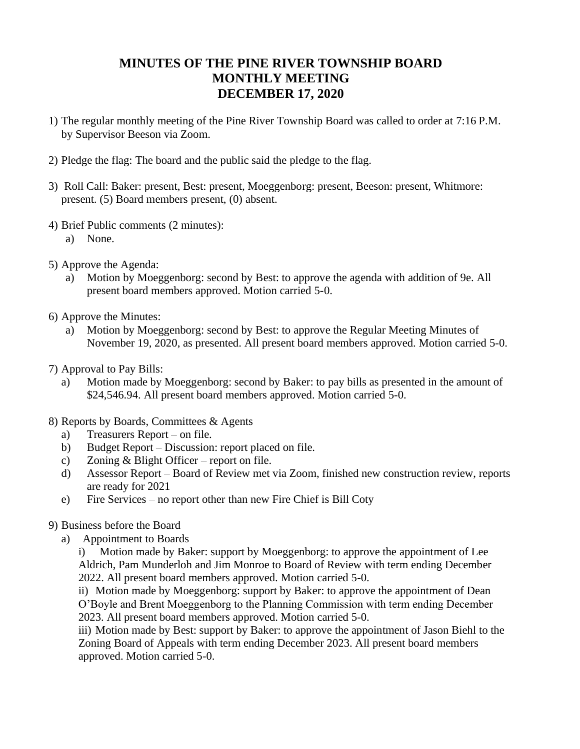## **MINUTES OF THE PINE RIVER TOWNSHIP BOARD MONTHLY MEETING DECEMBER 17, 2020**

- 1) The regular monthly meeting of the Pine River Township Board was called to order at 7:16 P.M. by Supervisor Beeson via Zoom.
- 2) Pledge the flag: The board and the public said the pledge to the flag.
- 3) Roll Call: Baker: present, Best: present, Moeggenborg: present, Beeson: present, Whitmore: present. (5) Board members present, (0) absent.
- 4) Brief Public comments (2 minutes):
	- a) None.
- 5) Approve the Agenda:
	- a) Motion by Moeggenborg: second by Best: to approve the agenda with addition of 9e. All present board members approved. Motion carried 5-0.
- 6) Approve the Minutes:
	- a) Motion by Moeggenborg: second by Best: to approve the Regular Meeting Minutes of November 19, 2020, as presented. All present board members approved. Motion carried 5-0.
- 7) Approval to Pay Bills:
	- a) Motion made by Moeggenborg: second by Baker: to pay bills as presented in the amount of \$24,546.94. All present board members approved. Motion carried 5-0.
- 8) Reports by Boards, Committees & Agents
	- a) Treasurers Report on file.
	- b) Budget Report Discussion: report placed on file.
	- c) Zoning & Blight Officer report on file.
	- d) Assessor Report Board of Review met via Zoom, finished new construction review, reports are ready for 2021
	- e) Fire Services no report other than new Fire Chief is Bill Coty
- 9) Business before the Board
	- a) Appointment to Boards

i) Motion made by Baker: support by Moeggenborg: to approve the appointment of Lee Aldrich, Pam Munderloh and Jim Monroe to Board of Review with term ending December 2022. All present board members approved. Motion carried 5-0.

ii) Motion made by Moeggenborg: support by Baker: to approve the appointment of Dean O'Boyle and Brent Moeggenborg to the Planning Commission with term ending December 2023. All present board members approved. Motion carried 5-0.

iii) Motion made by Best: support by Baker: to approve the appointment of Jason Biehl to the Zoning Board of Appeals with term ending December 2023. All present board members approved. Motion carried 5-0.